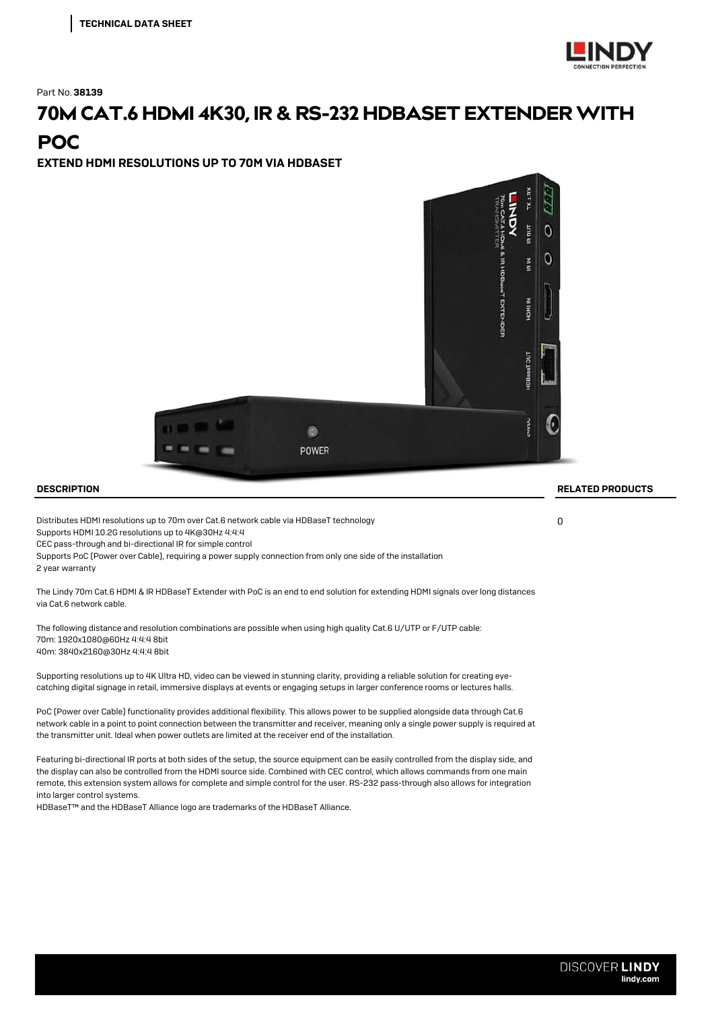

Part No.38139

## 70M CAT.6 HDMI 4K30, IR & RS-232 HDBASET EXTENDER WITH **POC**

EXTEND HDMI RESOLUTIONS UP TO 70M VIA HDBASET



Distributes HDMI resolutions up to 70m over Cat.6 network cable via HDBaseT technology 0 Supports HDMI 10.2G resolutions up to 4K@30Hz 4:4:4

CEC pass-through and bi-directional IR for simple control

Supports PoC (Power over Cable), requiring a power supply connection from only one side of the installation

2 year warranty

The Lindy 70m Cat.6 HDMI & IR HDBaseT Extender with PoC is an end to end solution for extending HDMI signals over long distances via Cat.6 network cable.

The following distance and resolution combinations are possible when using high quality Cat.6 U/UTP or F/UTP cable: 70m: 1920x1080@60Hz 4:4:4 8bit 40m: 3840x2160@30Hz 4:4:4 8bit

Supporting resolutions up to 4K Ultra HD, video can be viewed in stunning clarity, providing a reliable solution for creating eyecatching digital signage in retail, immersive displays at events or engaging setups in larger conference rooms or lectures halls.

PoC (Power over Cable) functionality provides additional flexibility. This allows power to be supplied alongside data through Cat.6 network cable in a point to point connection between the transmitter and receiver, meaning only a single power supply is required at the transmitter unit. Ideal when power outlets are limited at the receiver end of the installation.

Featuring bi-directional IR ports at both sides of the setup, the source equipment can be easily controlled from the display side, and the display can also be controlled from the HDMI source side. Combined with CEC control, which allows commands from one main remote, this extension system allows for complete and simple control for the user. RS-232 pass-through also allows for integration into larger control systems.

HDBaseT™ and the HDBaseT Alliance logo are trademarks of the HDBaseT Alliance.

## DESCRIPTION RELATED PRODUCTS